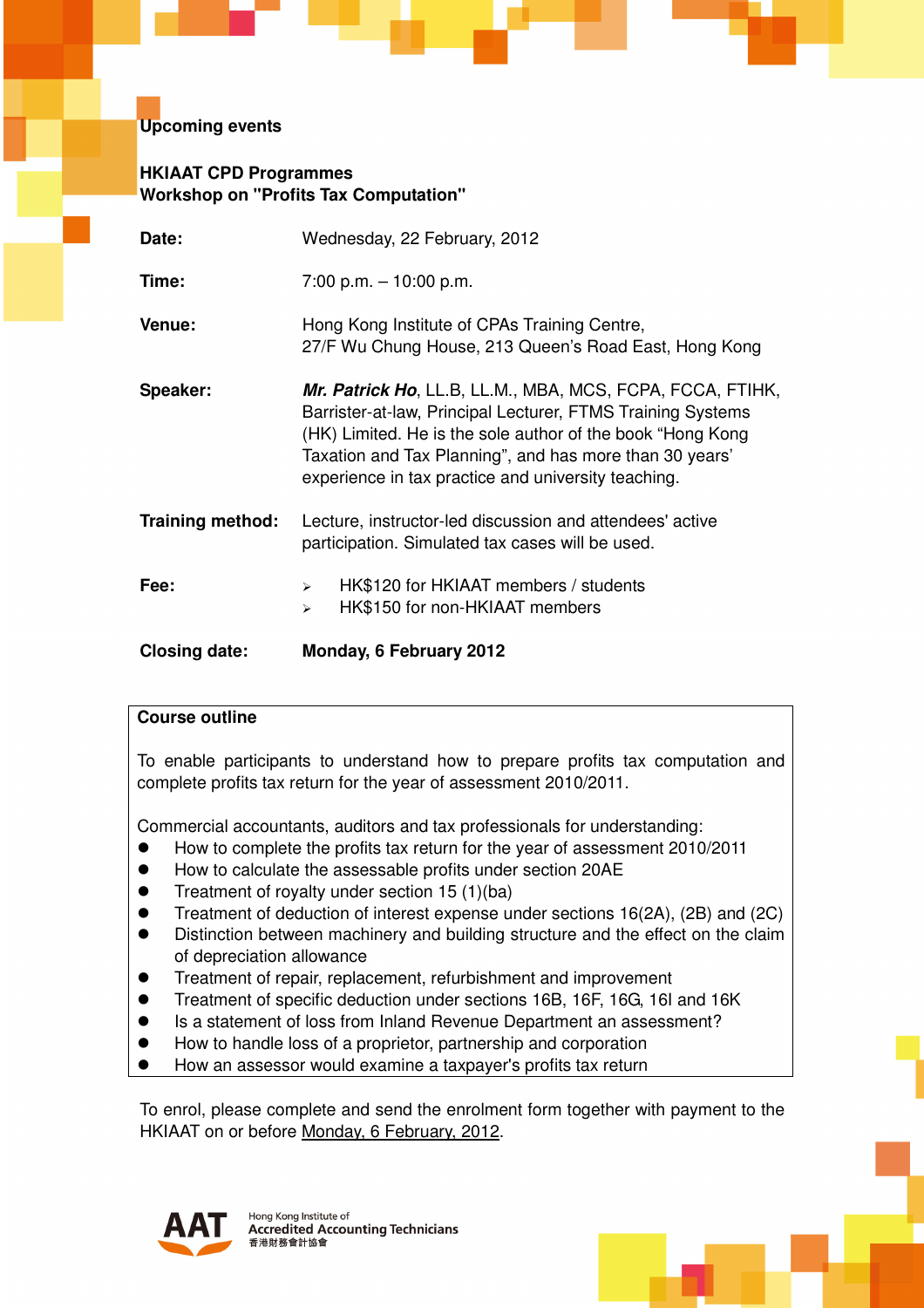## **Upcoming events**

## **HKIAAT CPD Programmes Workshop on "Profits Tax Computation"**

| Date:                   | Wednesday, 22 February, 2012                                                                                                                                                                                                                                                                              |  |  |
|-------------------------|-----------------------------------------------------------------------------------------------------------------------------------------------------------------------------------------------------------------------------------------------------------------------------------------------------------|--|--|
| Time:                   | $7:00$ p.m. $-10:00$ p.m.                                                                                                                                                                                                                                                                                 |  |  |
| Venue:                  | Hong Kong Institute of CPAs Training Centre,<br>27/F Wu Chung House, 213 Queen's Road East, Hong Kong                                                                                                                                                                                                     |  |  |
| Speaker:                | Mr. Patrick Ho, LL.B, LL.M., MBA, MCS, FCPA, FCCA, FTIHK,<br>Barrister-at-law, Principal Lecturer, FTMS Training Systems<br>(HK) Limited. He is the sole author of the book "Hong Kong"<br>Taxation and Tax Planning", and has more than 30 years'<br>experience in tax practice and university teaching. |  |  |
| <b>Training method:</b> | Lecture, instructor-led discussion and attendees' active<br>participation. Simulated tax cases will be used.                                                                                                                                                                                              |  |  |
| Fee:                    | HK\$120 for HKIAAT members / students<br>$\blacktriangleright$<br>HK\$150 for non-HKIAAT members<br>$\blacktriangleright$                                                                                                                                                                                 |  |  |
| <b>Closing date:</b>    | Monday, 6 February 2012                                                                                                                                                                                                                                                                                   |  |  |

## **Course outline**

To enable participants to understand how to prepare profits tax computation and complete profits tax return for the year of assessment 2010/2011.

Commercial accountants, auditors and tax professionals for understanding:

- $\bullet$ How to complete the profits tax return for the year of assessment 2010/2011
- $\bullet$ How to calculate the assessable profits under section 20AE
- $\bullet$ Treatment of royalty under section 15 (1)(ba)
- $\bullet$ Treatment of deduction of interest expense under sections 16(2A), (2B) and (2C)
- $\bullet$  Distinction between machinery and building structure and the effect on the claim of depreciation allowance
- $\bullet$ Treatment of repair, replacement, refurbishment and improvement
- $\bullet$ Treatment of specific deduction under sections 16B, 16F, 16G, 16I and 16K
- $\bullet$ Is a statement of loss from Inland Revenue Department an assessment?
- $\bullet$ How to handle loss of a proprietor, partnership and corporation
- $\bullet$ How an assessor would examine a taxpayer's profits tax return

To enrol, please complete and send the enrolment form together with payment to the HKIAAT on or before Monday, 6 February, 2012.